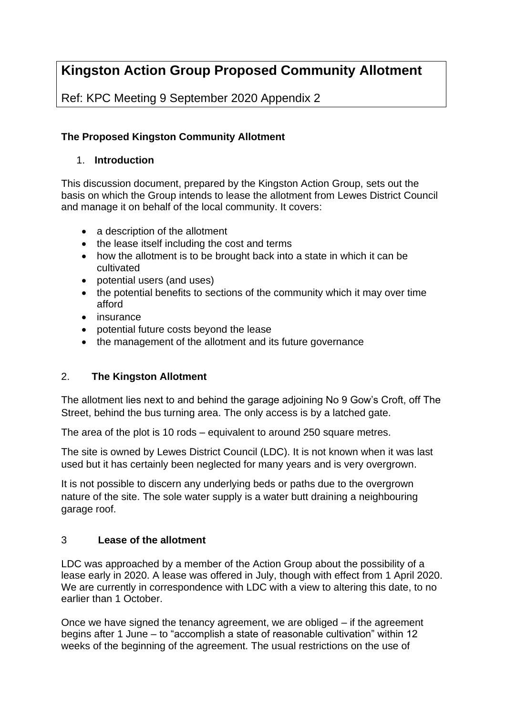# **Kingston Action Group Proposed Community Allotment**

Ref: KPC Meeting 9 September 2020 Appendix 2

# **The Proposed Kingston Community Allotment**

# 1. **Introduction**

This discussion document, prepared by the Kingston Action Group, sets out the basis on which the Group intends to lease the allotment from Lewes District Council and manage it on behalf of the local community. It covers:

- a description of the allotment
- the lease itself including the cost and terms
- how the allotment is to be brought back into a state in which it can be cultivated
- potential users (and uses)
- the potential benefits to sections of the community which it may over time afford
- insurance
- potential future costs beyond the lease
- the management of the allotment and its future governance

# 2. **The Kingston Allotment**

The allotment lies next to and behind the garage adjoining No 9 Gow's Croft, off The Street, behind the bus turning area. The only access is by a latched gate.

The area of the plot is 10 rods – equivalent to around 250 square metres.

The site is owned by Lewes District Council (LDC). It is not known when it was last used but it has certainly been neglected for many years and is very overgrown.

It is not possible to discern any underlying beds or paths due to the overgrown nature of the site. The sole water supply is a water butt draining a neighbouring garage roof.

# 3 **Lease of the allotment**

LDC was approached by a member of the Action Group about the possibility of a lease early in 2020. A lease was offered in July, though with effect from 1 April 2020. We are currently in correspondence with LDC with a view to altering this date, to no earlier than 1 October.

Once we have signed the tenancy agreement, we are obliged – if the agreement begins after 1 June – to "accomplish a state of reasonable cultivation" within 12 weeks of the beginning of the agreement. The usual restrictions on the use of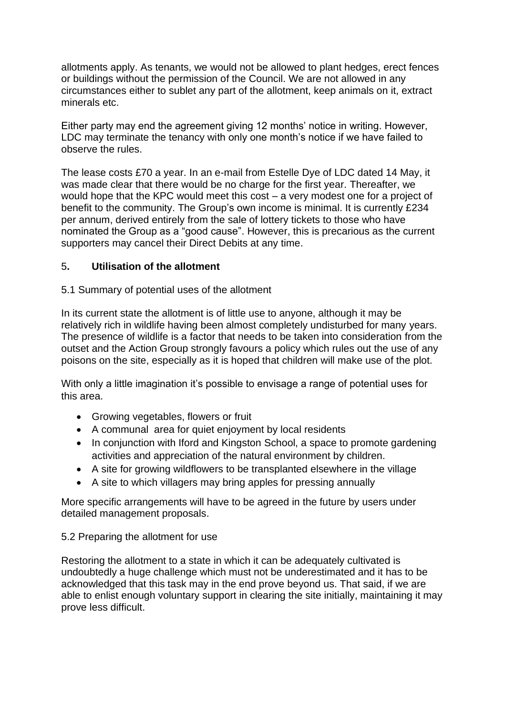allotments apply. As tenants, we would not be allowed to plant hedges, erect fences or buildings without the permission of the Council. We are not allowed in any circumstances either to sublet any part of the allotment, keep animals on it, extract minerals etc.

Either party may end the agreement giving 12 months' notice in writing. However, LDC may terminate the tenancy with only one month's notice if we have failed to observe the rules.

The lease costs £70 a year. In an e-mail from Estelle Dye of LDC dated 14 May, it was made clear that there would be no charge for the first year. Thereafter, we would hope that the KPC would meet this cost – a very modest one for a project of benefit to the community. The Group's own income is minimal. It is currently £234 per annum, derived entirely from the sale of lottery tickets to those who have nominated the Group as a "good cause". However, this is precarious as the current supporters may cancel their Direct Debits at any time.

#### 5**. Utilisation of the allotment**

#### 5.1 Summary of potential uses of the allotment

In its current state the allotment is of little use to anyone, although it may be relatively rich in wildlife having been almost completely undisturbed for many years. The presence of wildlife is a factor that needs to be taken into consideration from the outset and the Action Group strongly favours a policy which rules out the use of any poisons on the site, especially as it is hoped that children will make use of the plot.

With only a little imagination it's possible to envisage a range of potential uses for this area.

- Growing vegetables, flowers or fruit
- A communal area for quiet enjoyment by local residents
- In conjunction with Iford and Kingston School, a space to promote gardening activities and appreciation of the natural environment by children.
- A site for growing wildflowers to be transplanted elsewhere in the village
- A site to which villagers may bring apples for pressing annually

More specific arrangements will have to be agreed in the future by users under detailed management proposals.

#### 5.2 Preparing the allotment for use

Restoring the allotment to a state in which it can be adequately cultivated is undoubtedly a huge challenge which must not be underestimated and it has to be acknowledged that this task may in the end prove beyond us. That said, if we are able to enlist enough voluntary support in clearing the site initially, maintaining it may prove less difficult.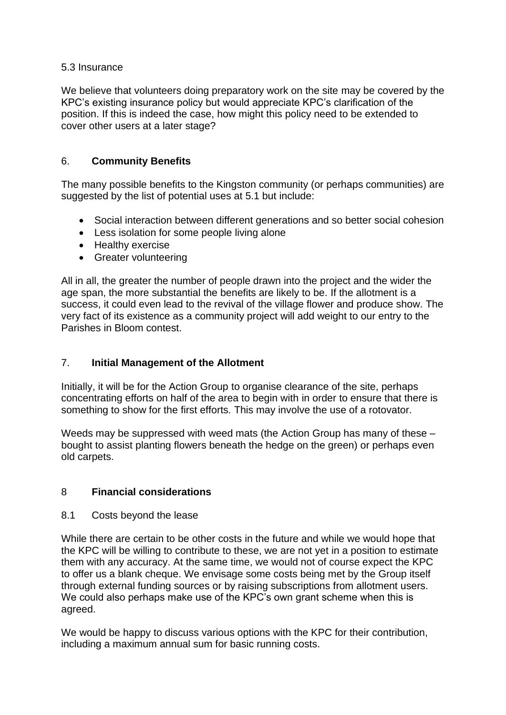#### 5.3 Insurance

We believe that volunteers doing preparatory work on the site may be covered by the KPC's existing insurance policy but would appreciate KPC's clarification of the position. If this is indeed the case, how might this policy need to be extended to cover other users at a later stage?

### 6. **Community Benefits**

The many possible benefits to the Kingston community (or perhaps communities) are suggested by the list of potential uses at 5.1 but include:

- Social interaction between different generations and so better social cohesion
- Less isolation for some people living alone
- Healthy exercise
- Greater volunteering

All in all, the greater the number of people drawn into the project and the wider the age span, the more substantial the benefits are likely to be. If the allotment is a success, it could even lead to the revival of the village flower and produce show. The very fact of its existence as a community project will add weight to our entry to the Parishes in Bloom contest.

# 7. **Initial Management of the Allotment**

Initially, it will be for the Action Group to organise clearance of the site, perhaps concentrating efforts on half of the area to begin with in order to ensure that there is something to show for the first efforts. This may involve the use of a rotovator.

Weeds may be suppressed with weed mats (the Action Group has many of these – bought to assist planting flowers beneath the hedge on the green) or perhaps even old carpets.

# 8 **Financial considerations**

8.1 Costs beyond the lease

While there are certain to be other costs in the future and while we would hope that the KPC will be willing to contribute to these, we are not yet in a position to estimate them with any accuracy. At the same time, we would not of course expect the KPC to offer us a blank cheque. We envisage some costs being met by the Group itself through external funding sources or by raising subscriptions from allotment users. We could also perhaps make use of the KPC's own grant scheme when this is agreed.

We would be happy to discuss various options with the KPC for their contribution, including a maximum annual sum for basic running costs.